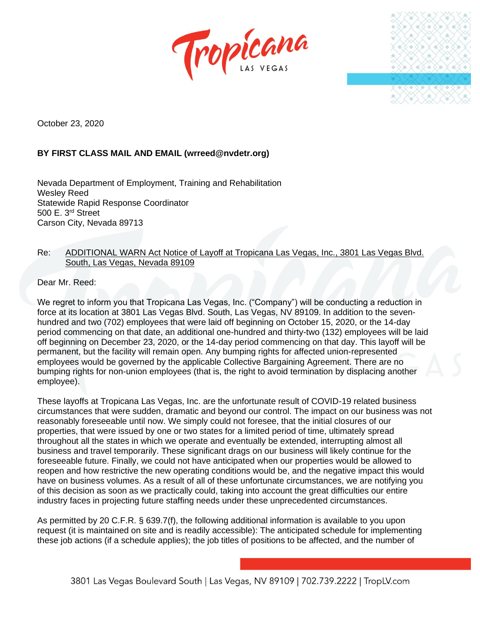



October 23, 2020

## **BY FIRST CLASS MAIL AND EMAIL (wrreed@nvdetr.org)**

Nevada Department of Employment, Training and Rehabilitation Wesley Reed Statewide Rapid Response Coordinator 500 E. 3rd Street Carson City, Nevada 89713

## Re: ADDITIONAL WARN Act Notice of Layoff at Tropicana Las Vegas, Inc., 3801 Las Vegas Blvd. South, Las Vegas, Nevada 89109

Dear Mr. Reed:

We regret to inform you that Tropicana Las Vegas, Inc. ("Company") will be conducting a reduction in force at its location at 3801 Las Vegas Blvd. South, Las Vegas, NV 89109. In addition to the sevenhundred and two (702) employees that were laid off beginning on October 15, 2020, or the 14-day period commencing on that date, an additional one-hundred and thirty-two (132) employees will be laid off beginning on December 23, 2020, or the 14-day period commencing on that day. This layoff will be permanent, but the facility will remain open. Any bumping rights for affected union-represented employees would be governed by the applicable Collective Bargaining Agreement. There are no bumping rights for non-union employees (that is, the right to avoid termination by displacing another employee).

These layoffs at Tropicana Las Vegas, Inc. are the unfortunate result of COVID-19 related business circumstances that were sudden, dramatic and beyond our control. The impact on our business was not reasonably foreseeable until now. We simply could not foresee, that the initial closures of our properties, that were issued by one or two states for a limited period of time, ultimately spread throughout all the states in which we operate and eventually be extended, interrupting almost all business and travel temporarily. These significant drags on our business will likely continue for the foreseeable future. Finally, we could not have anticipated when our properties would be allowed to reopen and how restrictive the new operating conditions would be, and the negative impact this would have on business volumes. As a result of all of these unfortunate circumstances, we are notifying you of this decision as soon as we practically could, taking into account the great difficulties our entire industry faces in projecting future staffing needs under these unprecedented circumstances.

As permitted by 20 C.F.R. § 639.7(f), the following additional information is available to you upon request (it is maintained on site and is readily accessible): The anticipated schedule for implementing these job actions (if a schedule applies); the job titles of positions to be affected, and the number of